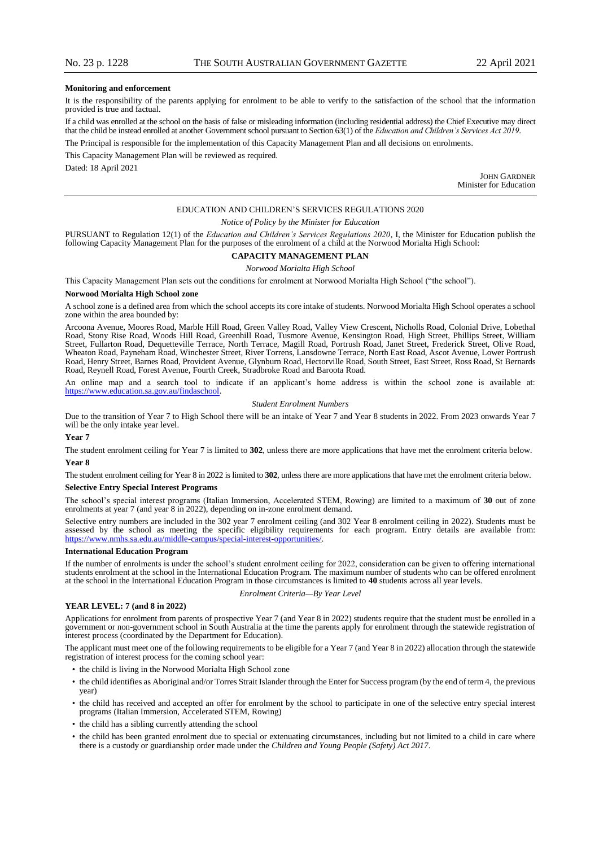## **Monitoring and enforcement**

It is the responsibility of the parents applying for enrolment to be able to verify to the satisfaction of the school that the information provided is true and factual.

If a child was enrolled at the school on the basis of false or misleading information (including residential address) the Chief Executive may direct that the child be instead enrolled at another Government school pursuant to Section 63(1) of the *Education and Children's Services Act 2019*.

The Principal is responsible for the implementation of this Capacity Management Plan and all decisions on enrolments.

This Capacity Management Plan will be reviewed as required.

Dated: 18 April 2021

JOHN GARDNER Minister for Education

## EDUCATION AND CHILDREN'S SERVICES REGULATIONS 2020

*Notice of Policy by the Minister for Education*

PURSUANT to Regulation 12(1) of the *Education and Children's Services Regulations 2020*, I, the Minister for Education publish the following Capacity Management Plan for the purposes of the enrolment of a child at the Norwood Morialta High School:

## **CAPACITY MANAGEMENT PLAN**

*Norwood Morialta High School*

This Capacity Management Plan sets out the conditions for enrolment at Norwood Morialta High School ("the school").

#### **Norwood Morialta High School zone**

A school zone is a defined area from which the school accepts its core intake of students. Norwood Morialta High School operates a school zone within the area bounded by:

Arcoona Avenue, Moores Road, Marble Hill Road, Green Valley Road, Valley View Crescent, Nicholls Road, Colonial Drive, Lobethal Road, Stony Rise Road, Woods Hill Road, Greenhill Road, Tusmore Avenue, Kensington Road, High Street, Phillips Street, William Street, Fullarton Road, Dequetteville Terrace, North Terrace, Magill Road, Portrush Road, Janet Street, Frederick Street, Olive Road, Wheaton Road, Payneham Road, Winchester Street, River Torrens, Lansdowne Terrace, North East Road, Ascot Avenue, Lower Portrush Road, Henry Street, Barnes Road, Provident Avenue, Glynburn Road, Hectorville Road, South Street, East Street, Ross Road, St Bernards Road, Reynell Road, Forest Avenue, Fourth Creek, Stradbroke Road and Baroota Road.

An online map and a search tool to indicate if an applicant's home address is within the school zone is available at: https://www.education.sa.gov.au/findaschool.

## *Student Enrolment Numbers*

Due to the transition of Year 7 to High School there will be an intake of Year 7 and Year 8 students in 2022. From 2023 onwards Year 7 will be the only intake year level.

## **Year 7**

The student enrolment ceiling for Year 7 is limited to **302**, unless there are more applications that have met the enrolment criteria below. **Year 8**

The student enrolment ceiling for Year 8 in 2022 is limited to **302**, unless there are more applications that have met the enrolment criteria below.

## **Selective Entry Special Interest Programs**

The school's special interest programs (Italian Immersion, Accelerated STEM, Rowing) are limited to a maximum of **30** out of zone enrolments at year 7 (and year 8 in 2022), depending on in-zone enrolment demand.

Selective entry numbers are included in the 302 year 7 enrolment ceiling (and 302 Year 8 enrolment ceiling in 2022). Students must be assessed by the school as meeting the specific eligibility requirements for each program. Entry details are available from: https://www.nmhs.sa.edu.au/middle-campus/special-interest-opportunities/.

## **International Education Program**

If the number of enrolments is under the school's student enrolment ceiling for 2022, consideration can be given to offering international students enrolment at the school in the International Education Program. The maximum number of students who can be offered enrolment at the school in the International Education Program in those circumstances is limited to **40** students across all year levels.

## *Enrolment Criteria—By Year Level*

## **YEAR LEVEL: 7 (and 8 in 2022)**

Applications for enrolment from parents of prospective Year 7 (and Year 8 in 2022) students require that the student must be enrolled in a government or non-government school in South Australia at the time the parents apply for enrolment through the statewide registration of interest process (coordinated by the Department for Education).

The applicant must meet one of the following requirements to be eligible for a Year 7 (and Year 8 in 2022) allocation through the statewide registration of interest process for the coming school year:

- the child is living in the Norwood Morialta High School zone
- the child identifies as Aboriginal and/or Torres Strait Islander through the Enter for Success program (by the end of term 4, the previous year)
- the child has received and accepted an offer for enrolment by the school to participate in one of the selective entry special interest programs (Italian Immersion, Accelerated STEM, Rowing)
- the child has a sibling currently attending the school
- the child has been granted enrolment due to special or extenuating circumstances, including but not limited to a child in care where there is a custody or guardianship order made under the *Children and Young People (Safety) Act 2017*.